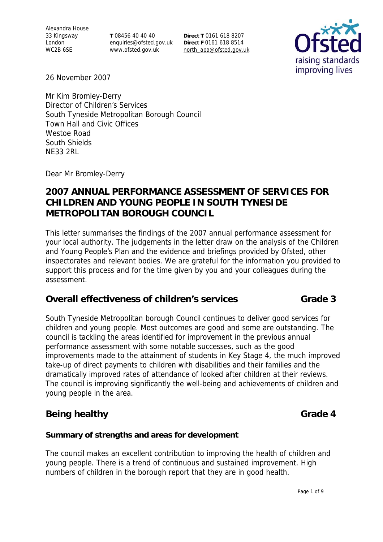Alexandra House 33 Kingsway London WC2B 6SE

**T** 08456 40 40 40 enquiries@ofsted.gov.uk www.ofsted.gov.uk

**Direct T** 0161 618 8207 **Direct F** 0161 618 8514 north\_apa@ofsted.gov.uk



26 November 2007

Mr Kim Bromley-Derry Director of Children's Services South Tyneside Metropolitan Borough Council Town Hall and Civic Offices Westoe Road South Shields NE33 2RL

Dear Mr Bromley-Derry

# **2007 ANNUAL PERFORMANCE ASSESSMENT OF SERVICES FOR CHILDREN AND YOUNG PEOPLE IN SOUTH TYNESIDE METROPOLITAN BOROUGH COUNCIL**

This letter summarises the findings of the 2007 annual performance assessment for your local authority. The judgements in the letter draw on the analysis of the Children and Young People's Plan and the evidence and briefings provided by Ofsted, other inspectorates and relevant bodies. We are grateful for the information you provided to support this process and for the time given by you and your colleagues during the assessment.

### **Overall effectiveness of children's services Grade 3**

South Tyneside Metropolitan borough Council continues to deliver good services for children and young people. Most outcomes are good and some are outstanding. The council is tackling the areas identified for improvement in the previous annual performance assessment with some notable successes, such as the good improvements made to the attainment of students in Key Stage 4, the much improved take-up of direct payments to children with disabilities and their families and the dramatically improved rates of attendance of looked after children at their reviews. The council is improving significantly the well-being and achievements of children and young people in the area.

# **Being healthy Grade 4**

#### **Summary of strengths and areas for development**

The council makes an excellent contribution to improving the health of children and young people. There is a trend of continuous and sustained improvement. High numbers of children in the borough report that they are in good health.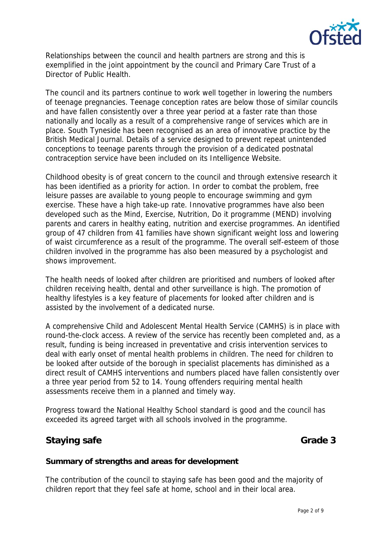

Relationships between the council and health partners are strong and this is exemplified in the joint appointment by the council and Primary Care Trust of a Director of Public Health.

The council and its partners continue to work well together in lowering the numbers of teenage pregnancies. Teenage conception rates are below those of similar councils and have fallen consistently over a three year period at a faster rate than those nationally and locally as a result of a comprehensive range of services which are in place. South Tyneside has been recognised as an area of innovative practice by the British Medical Journal. Details of a service designed to prevent repeat unintended conceptions to teenage parents through the provision of a dedicated postnatal contraception service have been included on its Intelligence Website.

Childhood obesity is of great concern to the council and through extensive research it has been identified as a priority for action. In order to combat the problem, free leisure passes are available to young people to encourage swimming and gym exercise. These have a high take-up rate. Innovative programmes have also been developed such as the Mind, Exercise, Nutrition, Do it programme (MEND) involving parents and carers in healthy eating, nutrition and exercise programmes. An identified group of 47 children from 41 families have shown significant weight loss and lowering of waist circumference as a result of the programme. The overall self-esteem of those children involved in the programme has also been measured by a psychologist and shows improvement.

The health needs of looked after children are prioritised and numbers of looked after children receiving health, dental and other surveillance is high. The promotion of healthy lifestyles is a key feature of placements for looked after children and is assisted by the involvement of a dedicated nurse.

A comprehensive Child and Adolescent Mental Health Service (CAMHS) is in place with round-the-clock access. A review of the service has recently been completed and, as a result, funding is being increased in preventative and crisis intervention services to deal with early onset of mental health problems in children. The need for children to be looked after outside of the borough in specialist placements has diminished as a direct result of CAMHS interventions and numbers placed have fallen consistently over a three year period from 52 to 14. Young offenders requiring mental health assessments receive them in a planned and timely way.

Progress toward the National Healthy School standard is good and the council has exceeded its agreed target with all schools involved in the programme.

# **Staying safe** Grade 3

#### **Summary of strengths and areas for development**

The contribution of the council to staying safe has been good and the majority of children report that they feel safe at home, school and in their local area.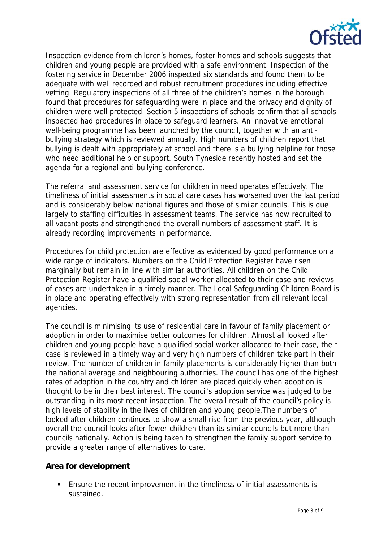

Inspection evidence from children's homes, foster homes and schools suggests that children and young people are provided with a safe environment. Inspection of the fostering service in December 2006 inspected six standards and found them to be adequate with well recorded and robust recruitment procedures including effective vetting. Regulatory inspections of all three of the children's homes in the borough found that procedures for safeguarding were in place and the privacy and dignity of children were well protected. Section 5 inspections of schools confirm that all schools inspected had procedures in place to safeguard learners. An innovative emotional well-being programme has been launched by the council, together with an antibullying strategy which is reviewed annually. High numbers of children report that bullying is dealt with appropriately at school and there is a bullying helpline for those who need additional help or support. South Tyneside recently hosted and set the agenda for a regional anti-bullying conference.

The referral and assessment service for children in need operates effectively. The timeliness of initial assessments in social care cases has worsened over the last period and is considerably below national figures and those of similar councils. This is due largely to staffing difficulties in assessment teams. The service has now recruited to all vacant posts and strengthened the overall numbers of assessment staff. It is already recording improvements in performance.

Procedures for child protection are effective as evidenced by good performance on a wide range of indicators. Numbers on the Child Protection Register have risen marginally but remain in line with similar authorities. All children on the Child Protection Register have a qualified social worker allocated to their case and reviews of cases are undertaken in a timely manner. The Local Safeguarding Children Board is in place and operating effectively with strong representation from all relevant local agencies.

The council is minimising its use of residential care in favour of family placement or adoption in order to maximise better outcomes for children. Almost all looked after children and young people have a qualified social worker allocated to their case, their case is reviewed in a timely way and very high numbers of children take part in their review. The number of children in family placements is considerably higher than both the national average and neighbouring authorities. The council has one of the highest rates of adoption in the country and children are placed quickly when adoption is thought to be in their best interest. The council's adoption service was judged to be outstanding in its most recent inspection. The overall result of the council's policy is high levels of stability in the lives of children and young people.The numbers of looked after children continues to show a small rise from the previous year, although overall the council looks after fewer children than its similar councils but more than councils nationally. Action is being taken to strengthen the family support service to provide a greater range of alternatives to care.

#### **Area for development**

 Ensure the recent improvement in the timeliness of initial assessments is sustained.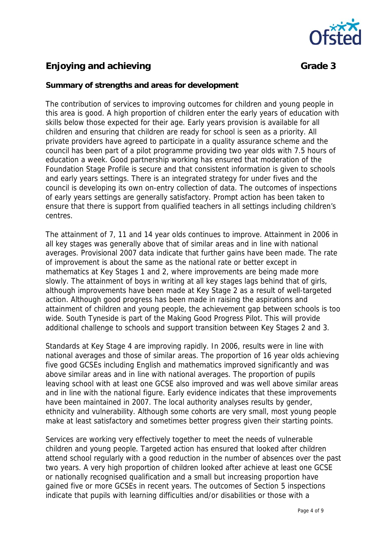

# **Enjoying and achieving Grade 3 Grade 3**

### **Summary of strengths and areas for development**

The contribution of services to improving outcomes for children and young people in this area is good. A high proportion of children enter the early years of education with skills below those expected for their age. Early years provision is available for all children and ensuring that children are ready for school is seen as a priority. All private providers have agreed to participate in a quality assurance scheme and the council has been part of a pilot programme providing two year olds with 7.5 hours of education a week. Good partnership working has ensured that moderation of the Foundation Stage Profile is secure and that consistent information is given to schools and early years settings. There is an integrated strategy for under fives and the council is developing its own on-entry collection of data. The outcomes of inspections of early years settings are generally satisfactory. Prompt action has been taken to ensure that there is support from qualified teachers in all settings including children's centres.

The attainment of 7, 11 and 14 year olds continues to improve. Attainment in 2006 in all key stages was generally above that of similar areas and in line with national averages. Provisional 2007 data indicate that further gains have been made. The rate of improvement is about the same as the national rate or better except in mathematics at Key Stages 1 and 2, where improvements are being made more slowly. The attainment of boys in writing at all key stages lags behind that of girls, although improvements have been made at Key Stage 2 as a result of well-targeted action. Although good progress has been made in raising the aspirations and attainment of children and young people, the achievement gap between schools is too wide. South Tyneside is part of the Making Good Progress Pilot. This will provide additional challenge to schools and support transition between Key Stages 2 and 3.

Standards at Key Stage 4 are improving rapidly. In 2006, results were in line with national averages and those of similar areas. The proportion of 16 year olds achieving five good GCSEs including English and mathematics improved significantly and was above similar areas and in line with national averages. The proportion of pupils leaving school with at least one GCSE also improved and was well above similar areas and in line with the national figure. Early evidence indicates that these improvements have been maintained in 2007. The local authority analyses results by gender, ethnicity and vulnerability. Although some cohorts are very small, most young people make at least satisfactory and sometimes better progress given their starting points.

Services are working very effectively together to meet the needs of vulnerable children and young people. Targeted action has ensured that looked after children attend school regularly with a good reduction in the number of absences over the past two years. A very high proportion of children looked after achieve at least one GCSE or nationally recognised qualification and a small but increasing proportion have gained five or more GCSEs in recent years. The outcomes of Section 5 inspections indicate that pupils with learning difficulties and/or disabilities or those with a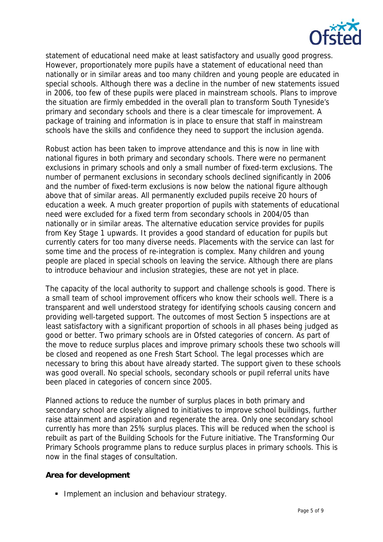

statement of educational need make at least satisfactory and usually good progress. However, proportionately more pupils have a statement of educational need than nationally or in similar areas and too many children and young people are educated in special schools. Although there was a decline in the number of new statements issued in 2006, too few of these pupils were placed in mainstream schools. Plans to improve the situation are firmly embedded in the overall plan to transform South Tyneside's primary and secondary schools and there is a clear timescale for improvement. A package of training and information is in place to ensure that staff in mainstream schools have the skills and confidence they need to support the inclusion agenda.

Robust action has been taken to improve attendance and this is now in line with national figures in both primary and secondary schools. There were no permanent exclusions in primary schools and only a small number of fixed-term exclusions. The number of permanent exclusions in secondary schools declined significantly in 2006 and the number of fixed-term exclusions is now below the national figure although above that of similar areas. All permanently excluded pupils receive 20 hours of education a week. A much greater proportion of pupils with statements of educational need were excluded for a fixed term from secondary schools in 2004/05 than nationally or in similar areas. The alternative education service provides for pupils from Key Stage 1 upwards. It provides a good standard of education for pupils but currently caters for too many diverse needs. Placements with the service can last for some time and the process of re-integration is complex. Many children and young people are placed in special schools on leaving the service. Although there are plans to introduce behaviour and inclusion strategies, these are not yet in place.

The capacity of the local authority to support and challenge schools is good. There is a small team of school improvement officers who know their schools well. There is a transparent and well understood strategy for identifying schools causing concern and providing well-targeted support. The outcomes of most Section 5 inspections are at least satisfactory with a significant proportion of schools in all phases being judged as good or better. Two primary schools are in Ofsted categories of concern. As part of the move to reduce surplus places and improve primary schools these two schools will be closed and reopened as one Fresh Start School. The legal processes which are necessary to bring this about have already started. The support given to these schools was good overall. No special schools, secondary schools or pupil referral units have been placed in categories of concern since 2005.

Planned actions to reduce the number of surplus places in both primary and secondary school are closely aligned to initiatives to improve school buildings, further raise attainment and aspiration and regenerate the area. Only one secondary school currently has more than 25% surplus places. This will be reduced when the school is rebuilt as part of the Building Schools for the Future initiative. The Transforming Our Primary Schools programme plans to reduce surplus places in primary schools. This is now in the final stages of consultation.

#### **Area for development**

**Implement an inclusion and behaviour strategy.**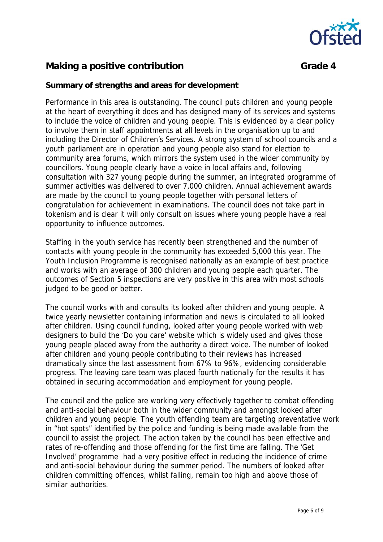

# **Making a positive contribution Grade 4 Grade 4**

#### **Summary of strengths and areas for development**

Performance in this area is outstanding. The council puts children and young people at the heart of everything it does and has designed many of its services and systems to include the voice of children and young people. This is evidenced by a clear policy to involve them in staff appointments at all levels in the organisation up to and including the Director of Children's Services. A strong system of school councils and a youth parliament are in operation and young people also stand for election to community area forums, which mirrors the system used in the wider community by councillors. Young people clearly have a voice in local affairs and, following consultation with 327 young people during the summer, an integrated programme of summer activities was delivered to over 7,000 children. Annual achievement awards are made by the council to young people together with personal letters of congratulation for achievement in examinations. The council does not take part in tokenism and is clear it will only consult on issues where young people have a real opportunity to influence outcomes.

Staffing in the youth service has recently been strengthened and the number of contacts with young people in the community has exceeded 5,000 this year. The Youth Inclusion Programme is recognised nationally as an example of best practice and works with an average of 300 children and young people each quarter. The outcomes of Section 5 inspections are very positive in this area with most schools judged to be good or better.

The council works with and consults its looked after children and young people. A twice yearly newsletter containing information and news is circulated to all looked after children. Using council funding, looked after young people worked with web designers to build the 'Do you care' website which is widely used and gives those young people placed away from the authority a direct voice. The number of looked after children and young people contributing to their reviews has increased dramatically since the last assessment from 67% to 96%, evidencing considerable progress. The leaving care team was placed fourth nationally for the results it has obtained in securing accommodation and employment for young people.

The council and the police are working very effectively together to combat offending and anti-social behaviour both in the wider community and amongst looked after children and young people. The youth offending team are targeting preventative work in "hot spots" identified by the police and funding is being made available from the council to assist the project. The action taken by the council has been effective and rates of re-offending and those offending for the first time are falling. The 'Get Involved' programme had a very positive effect in reducing the incidence of crime and anti-social behaviour during the summer period. The numbers of looked after children committing offences, whilst falling, remain too high and above those of similar authorities.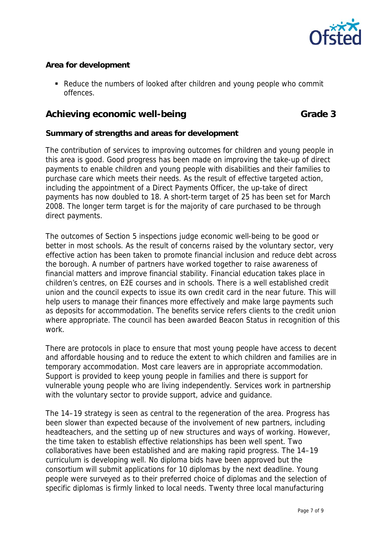

### **Area for development**

Reduce the numbers of looked after children and young people who commit offences.

## Achieving economic well-being Grade 3

#### **Summary of strengths and areas for development**

The contribution of services to improving outcomes for children and young people in this area is good. Good progress has been made on improving the take-up of direct payments to enable children and young people with disabilities and their families to purchase care which meets their needs. As the result of effective targeted action, including the appointment of a Direct Payments Officer, the up-take of direct payments has now doubled to 18. A short-term target of 25 has been set for March 2008. The longer term target is for the majority of care purchased to be through direct payments.

The outcomes of Section 5 inspections judge economic well-being to be good or better in most schools. As the result of concerns raised by the voluntary sector, very effective action has been taken to promote financial inclusion and reduce debt across the borough. A number of partners have worked together to raise awareness of financial matters and improve financial stability. Financial education takes place in children's centres, on E2E courses and in schools. There is a well established credit union and the council expects to issue its own credit card in the near future. This will help users to manage their finances more effectively and make large payments such as deposits for accommodation. The benefits service refers clients to the credit union where appropriate. The council has been awarded Beacon Status in recognition of this work.

There are protocols in place to ensure that most young people have access to decent and affordable housing and to reduce the extent to which children and families are in temporary accommodation. Most care leavers are in appropriate accommodation. Support is provided to keep young people in families and there is support for vulnerable young people who are living independently. Services work in partnership with the voluntary sector to provide support, advice and guidance.

The 14–19 strategy is seen as central to the regeneration of the area. Progress has been slower than expected because of the involvement of new partners, including headteachers, and the setting up of new structures and ways of working. However, the time taken to establish effective relationships has been well spent. Two collaboratives have been established and are making rapid progress. The 14–19 curriculum is developing well. No diploma bids have been approved but the consortium will submit applications for 10 diplomas by the next deadline. Young people were surveyed as to their preferred choice of diplomas and the selection of specific diplomas is firmly linked to local needs. Twenty three local manufacturing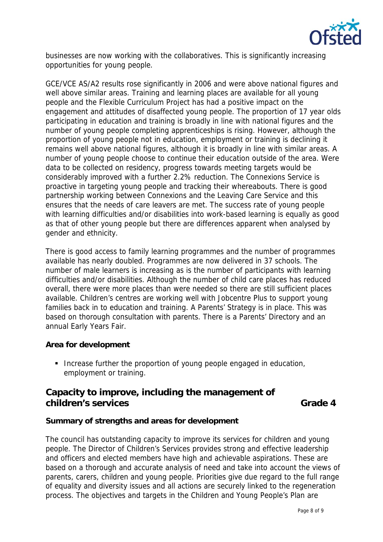

businesses are now working with the collaboratives. This is significantly increasing opportunities for young people.

GCE/VCE AS/A2 results rose significantly in 2006 and were above national figures and well above similar areas. Training and learning places are available for all young people and the Flexible Curriculum Project has had a positive impact on the engagement and attitudes of disaffected young people. The proportion of 17 year olds participating in education and training is broadly in line with national figures and the number of young people completing apprenticeships is rising. However, although the proportion of young people not in education, employment or training is declining it remains well above national figures, although it is broadly in line with similar areas. A number of young people choose to continue their education outside of the area. Were data to be collected on residency, progress towards meeting targets would be considerably improved with a further 2.2% reduction. The Connexions Service is proactive in targeting young people and tracking their whereabouts. There is good partnership working between Connexions and the Leaving Care Service and this ensures that the needs of care leavers are met. The success rate of young people with learning difficulties and/or disabilities into work-based learning is equally as good as that of other young people but there are differences apparent when analysed by gender and ethnicity.

There is good access to family learning programmes and the number of programmes available has nearly doubled. Programmes are now delivered in 37 schools. The number of male learners is increasing as is the number of participants with learning difficulties and/or disabilities. Although the number of child care places has reduced overall, there were more places than were needed so there are still sufficient places available. Children's centres are working well with Jobcentre Plus to support young families back in to education and training. A Parents' Strategy is in place. This was based on thorough consultation with parents. There is a Parents' Directory and an annual Early Years Fair.

#### **Area for development**

Increase further the proportion of young people engaged in education, employment or training.

# **Capacity to improve, including the management of children's services** Grade 4

#### **Summary of strengths and areas for development**

The council has outstanding capacity to improve its services for children and young people. The Director of Children's Services provides strong and effective leadership and officers and elected members have high and achievable aspirations. These are based on a thorough and accurate analysis of need and take into account the views of parents, carers, children and young people. Priorities give due regard to the full range of equality and diversity issues and all actions are securely linked to the regeneration process. The objectives and targets in the Children and Young People's Plan are